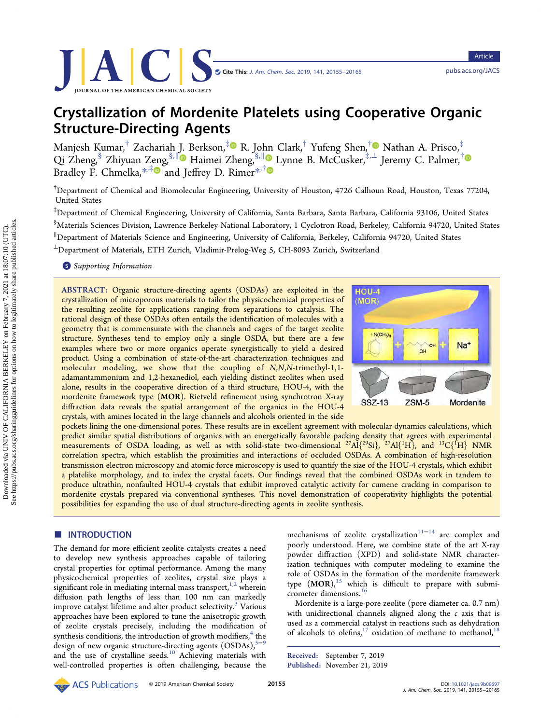Article

# Crystallization of Mordenite Platelets using Cooperative Organic Structure-Directing Agents

Manjesh Kumar, $^\dagger$  Zachariah [J.](#page-8-0) Berkson, $^\ddag$  R. Jo[hn](#page-8-0) Clark, $^\dagger$  Yufeng Shen, $^\dagger$  Nathan A. Prisco, $^\ddag$ Qi Zheng,§ Zhiyuan Zeng,§,<sup>∥</sup> Haimei Zheng,§,<sup>∥</sup> Lynne B. McCusker,‡,<sup>⊥</sup> Jeremy C. Palmer,† Bradley F. Chmelka, [\\*](#page-8-0)<sup>,[‡](#page-8-0)</sup> and Jeffrey D. Rimer\*<sup>,†</sup>

† Department of Chemical and Biomolecular Engineering, University of Houston, 4726 Calhoun Road, Houston, Texas 77204, United States

‡ Department of Chemical Engineering, University of California, Santa Barbara, Santa Barbara, California 93106, United States  $^{\$}$ Materials Sciences Division, Lawrence Berkeley National Laboratory, 1 Cyclotron Road, Berkeley, California 94720, United States ∥ Department of Materials Science and Engineering, University of California, Berkeley, California 94720, United States <sup>⊥</sup>Department of Materials, ETH Zurich, Vladimir-Prelog-Weg 5, CH-8093 Zurich, Switzerland

**S** [Supporting Information](#page-8-0)

ABSTRACT: Organic structure-directing agents (OSDAs) are exploited in the crystallization of microporous materials to tailor the physicochemical properties of the resulting zeolite for applications ranging from separations to catalysis. The rational design of these OSDAs often entails the identification of molecules with a geometry that is commensurate with the channels and cages of the target zeolite structure. Syntheses tend to employ only a single OSDA, but there are a few examples where two or more organics operate synergistically to yield a desired product. Using a combination of state-of-the-art characterization techniques and molecular modeling, we show that the coupling of N,N,N-trimethyl-1,1 adamantammonium and 1,2-hexanediol, each yielding distinct zeolites when used alone, results in the cooperative direction of a third structure, HOU-4, with the mordenite framework type (MOR). Rietveld refinement using synchrotron X-ray diffraction data reveals the spatial arrangement of the organics in the HOU-4 crystals, with amines located in the large channels and alcohols oriented in the side



pockets lining the one-dimensional pores. These results are in excellent agreement with molecular dynamics calculations, which predict similar spatial distributions of organics with an energetically favorable packing density that agrees with experimental measurements of OSDA loading, as well as with solid-state two-dimensional  $^{27}\text{Al}^{\{29}\text{Si}\},$   $^{27}\text{Al}^{\{1}\text{H}\},$  and  $^{13}\text{C}^{\{1}\text{H}\}$  NMR correlation spectra, which establish the proximities and interactions of occluded OSDAs. A combination of high-resolution transmission electron microscopy and atomic force microscopy is used to quantify the size of the HOU-4 crystals, which exhibit a platelike morphology, and to index the crystal facets. Our findings reveal that the combined OSDAs work in tandem to produce ultrathin, nonfaulted HOU-4 crystals that exhibit improved catalytic activity for cumene cracking in comparison to mordenite crystals prepared via conventional syntheses. This novel demonstration of cooperativity highlights the potential possibilities for expanding the use of dual structure-directing agents in zeolite synthesis.

# **ENTRODUCTION**

The demand for more efficient zeolite catalysts creates a need to develop new synthesis approaches capable of tailoring crystal properties for optimal performance. Among the many physicochemical properties of zeolites, crystal size plays a significant role in mediating internal mass transport,  $1,2$  $1,2$  $1,2$  wherein diffusion path lengths of less than 100 nm can markedly improve catalyst lifetime and alter product selectivity.<sup>[3](#page-9-0)</sup> Various approaches have been explored to tune the anisotropic growth of zeolite crystals precisely, including the modification of synthesis conditions, the introduction of growth modifiers, $4$  the design of new organic structure-directing agents  $(OSDAs)_{0}^{5-9}$  $(OSDAs)_{0}^{5-9}$  $(OSDAs)_{0}^{5-9}$ and the use of crystalline seeds.<sup>[10](#page-9-0)</sup> Achieving materials with well-controlled properties is often challenging, because the

mechanisms of zeolite crystallization<sup>[11](#page-9-0)-[14](#page-9-0)</sup> are complex and poorly understood. Here, we combine state of the art X-ray powder diffraction (XPD) and solid-state NMR characterization techniques with computer modeling to examine the role of OSDAs in the formation of the mordenite framework type  $(MOR)$ ,<sup>[15](#page-9-0)</sup> which is difficult to prepare with submicrometer dimensions.[16](#page-9-0)

Mordenite is a large-pore zeolite (pore diameter ca. 0.7 nm) with unidirectional channels aligned along the  $c$  axis that is used as a commercial catalyst in reactions such as dehydration of alcohols to olefins, $17$  oxidation of methane to methanol,  $18$ 

Received: September 7, 2019 Published: November 21, 2019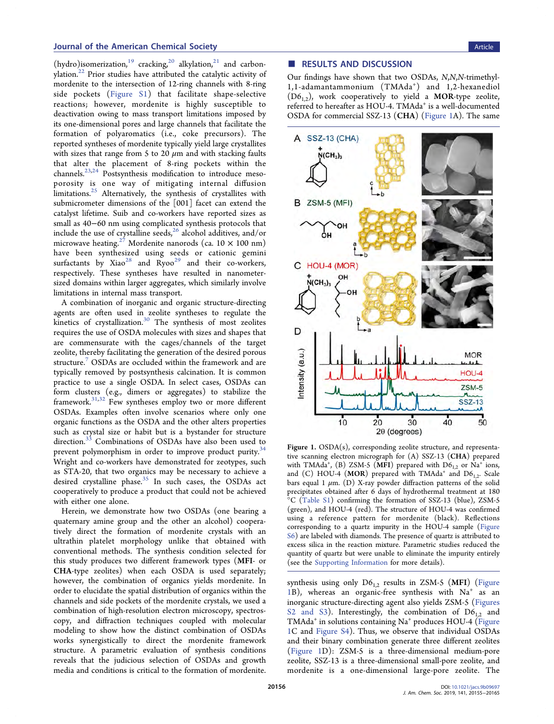(hydro)isomerization,<sup>19</sup> cracking,<sup>[20](#page-9-0)</sup> alkylation,<sup>[21](#page-9-0)</sup> and carbonylation. $^{22}$  Prior studies have attributed the catalytic activity of mordenite to the intersection of 12-ring channels with 8-ring side pockets ([Figure S1\)](http://pubs.acs.org/doi/suppl/10.1021/jacs.9b09697/suppl_file/ja9b09697_si_001.pdf) that facilitate shape-selective reactions; however, mordenite is highly susceptible to deactivation owing to mass transport limitations imposed by its one-dimensional pores and large channels that facilitate the formation of polyaromatics (i.e., coke precursors). The reported syntheses of mordenite typically yield large crystallites with sizes that range from 5 to 20  $\mu$ m and with stacking faults that alter the placement of 8-ring pockets within the channels.<sup>[23,24](#page-9-0)</sup> Postsynthesis modification to introduce mesoporosity is one way of mitigating internal diffusion limitations.<sup>[25](#page-9-0)</sup> Alternatively, the synthesis of crystallites with submicrometer dimensions of the [001] facet can extend the catalyst lifetime. Suib and co-workers have reported sizes as small as 40−60 nm using complicated synthesis protocols that include the use of crystalline seeds,  $26$  alcohol additives, and/or microwave heating.<sup>[27](#page-9-0)</sup> Mordenite nanorods (ca. 10  $\times$  100 nm) have been synthesized using seeds or cationic gemini surfactants by Xiao<sup>[28](#page-9-0)</sup> and Ryoo<sup>[29](#page-9-0)</sup> and their co-workers, respectively. These syntheses have resulted in nanometersized domains within larger aggregates, which similarly involve limitations in internal mass transport.

A combination of inorganic and organic structure-directing agents are often used in zeolite syntheses to regulate the kinetics of crystallization. $30$  The synthesis of most zeolites requires the use of OSDA molecules with sizes and shapes that are commensurate with the cages/channels of the target zeolite, thereby facilitating the generation of the desired porous structure.<sup>7</sup> OSDAs are occluded within the framework and are typically removed by postsynthesis calcination. It is common practice to use a single OSDA. In select cases, OSDAs can form clusters (e.g., dimers or aggregates) to stabilize the framework[.31](#page-10-0),[32](#page-10-0) Few syntheses employ two or more different OSDAs. Examples often involve scenarios where only one organic functions as the OSDA and the other alters properties such as crystal size or habit but is a bystander for structure direction.<sup>[33](#page-10-0)</sup> Combinations of OSDAs have also been used to prevent polymorphism in order to improve product purity.<sup>34</sup> Wright and co-workers have demonstrated for zeotypes, such as STA-20, that two organics may be necessary to achieve a desired crystalline phase.<sup>[35](#page-10-0)</sup> In such cases, the OSDAs act cooperatively to produce a product that could not be achieved with either one alone.

Herein, we demonstrate how two OSDAs (one bearing a quaternary amine group and the other an alcohol) cooperatively direct the formation of mordenite crystals with an ultrathin platelet morphology unlike that obtained with conventional methods. The synthesis condition selected for this study produces two different framework types (MFI- or CHA-type zeolites) when each OSDA is used separately; however, the combination of organics yields mordenite. In order to elucidate the spatial distribution of organics within the channels and side pockets of the mordenite crystals, we used a combination of high-resolution electron microscopy, spectroscopy, and diffraction techniques coupled with molecular modeling to show how the distinct combination of OSDAs works synergistically to direct the mordenite framework structure. A parametric evaluation of synthesis conditions reveals that the judicious selection of OSDAs and growth media and conditions is critical to the formation of mordenite.

# ■ RESULTS AND DISCUSSION

Our findings have shown that two OSDAs, N,N,N-trimethyl-1,1-adamantammonium (TMAda+) and 1,2-hexanediol  $(D6<sub>12</sub>)$ , work cooperatively to yield a MOR-type zeolite, referred to hereafter as HOU-4. TMAda<sup>+</sup> is a well-documented OSDA for commercial SSZ-13 (CHA) (Figure 1A). The same



Figure 1. OSDA(s), corresponding zeolite structure, and representative scanning electron micrograph for (A) SSZ-13 (CHA) prepared with TMAda<sup>+</sup>, (B) ZSM-5 (**MFI**) prepared with  $D6_{1,2}$  or  $Na^+$  ions, and (C) HOU-4 (MOR) prepared with TMAda<sup>+</sup> and  $D6_{1,2}$ . Scale bars equal 1  $\mu$ m. (D) X-ray powder diffraction patterns of the solid precipitates obtained after 6 days of hydrothermal treatment at 180 <sup>o</sup>C [\(Table S1](http://pubs.acs.org/doi/suppl/10.1021/jacs.9b09697/suppl_file/ja9b09697_si_001.pdf)) confirming the formation of SSZ-13 (blue), ZSM-5 (green), and HOU-4 (red). The structure of HOU-4 was confirmed using a reference pattern for mordenite (black). Reflections corresponding to a quartz impurity in the HOU-4 sample [\(Figure](http://pubs.acs.org/doi/suppl/10.1021/jacs.9b09697/suppl_file/ja9b09697_si_001.pdf) [S6](http://pubs.acs.org/doi/suppl/10.1021/jacs.9b09697/suppl_file/ja9b09697_si_001.pdf)) are labeled with diamonds. The presence of quartz is attributed to excess silica in the reaction mixture. Parametric studies reduced the quantity of quartz but were unable to eliminate the impurity entirely (see the [Supporting Information](http://pubs.acs.org/doi/suppl/10.1021/jacs.9b09697/suppl_file/ja9b09697_si_001.pdf) for more details).

synthesis using only  $D6_{1,2}$  results in ZSM-5 (MFI) (Figure 1B), whereas an organic-free synthesis with  $Na<sup>+</sup>$  as an inorganic structure-directing agent also yields ZSM-5 ([Figures](http://pubs.acs.org/doi/suppl/10.1021/jacs.9b09697/suppl_file/ja9b09697_si_001.pdf) [S2 and S3](http://pubs.acs.org/doi/suppl/10.1021/jacs.9b09697/suppl_file/ja9b09697_si_001.pdf)). Interestingly, the combination of  $D6_{1,2}$  and TMAda<sup>+</sup> in solutions containing Na<sup>+</sup> produces HOU-4 (Figure 1C and [Figure S4\)](http://pubs.acs.org/doi/suppl/10.1021/jacs.9b09697/suppl_file/ja9b09697_si_001.pdf). Thus, we observe that individual OSDAs and their binary combination generate three different zeolites (Figure 1D): ZSM-5 is a three-dimensional medium-pore zeolite, SSZ-13 is a three-dimensional small-pore zeolite, and mordenite is a one-dimensional large-pore zeolite. The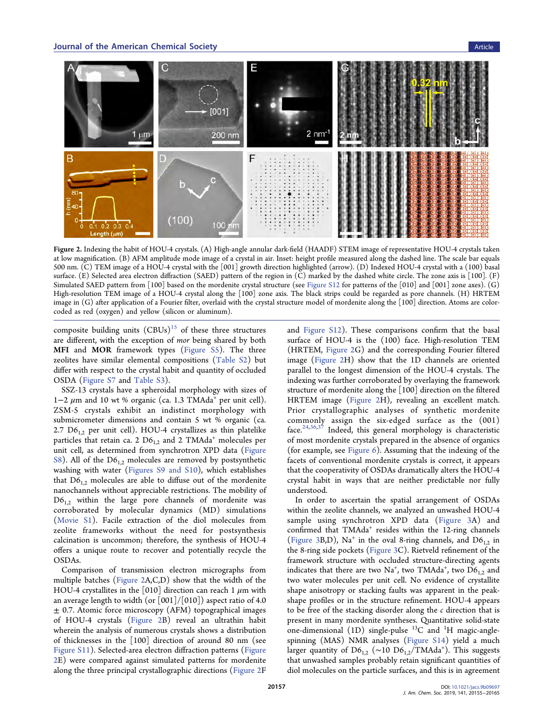

Figure 2. Indexing the habit of HOU-4 crystals. (A) High-angle annular dark-field (HAADF) STEM image of representative HOU-4 crystals taken at low magnification. (B) AFM amplitude mode image of a crystal in air. Inset: height profile measured along the dashed line. The scale bar equals 500 nm. (C) TEM image of a HOU-4 crystal with the [001] growth direction highlighted (arrow). (D) Indexed HOU-4 crystal with a (100) basal surface. (E) Selected area electron diffraction (SAED) pattern of the region in (C) marked by the dashed white circle. The zone axis is [100]. (F) Simulated SAED pattern from [100] based on the mordenite crystal structure (see [Figure S12](http://pubs.acs.org/doi/suppl/10.1021/jacs.9b09697/suppl_file/ja9b09697_si_001.pdf) for patterns of the [010] and [001] zone axes). (G) High-resolution TEM image of a HOU-4 crystal along the [100] zone axis. The black strips could be regarded as pore channels. (H) HRTEM image in (G) after application of a Fourier filter, overlaid with the crystal structure model of mordenite along the [100] direction. Atoms are colorcoded as red (oxygen) and yellow (silicon or aluminum).

composite building units  $(CBUs)^{15}$  $(CBUs)^{15}$  $(CBUs)^{15}$  of these three structures are different, with the exception of mor being shared by both MFI and MOR framework types ([Figure S5\)](http://pubs.acs.org/doi/suppl/10.1021/jacs.9b09697/suppl_file/ja9b09697_si_001.pdf). The three zeolites have similar elemental compositions ([Table S2\)](http://pubs.acs.org/doi/suppl/10.1021/jacs.9b09697/suppl_file/ja9b09697_si_001.pdf) but differ with respect to the crystal habit and quantity of occluded OSDA [\(Figure S7](http://pubs.acs.org/doi/suppl/10.1021/jacs.9b09697/suppl_file/ja9b09697_si_001.pdf) and [Table S3](http://pubs.acs.org/doi/suppl/10.1021/jacs.9b09697/suppl_file/ja9b09697_si_001.pdf)).

SSZ-13 crystals have a spheroidal morphology with sizes of 1−2  $\mu$ m and 10 wt % organic (ca. 1.3 TMAda<sup>+</sup> per unit cell). ZSM-5 crystals exhibit an indistinct morphology with submicrometer dimensions and contain 5 wt % organic (ca. 2.7  $D6_{1,2}$  per unit cell). HOU-4 crystallizes as thin platelike particles that retain ca. 2  $D6_{1,2}$  and 2 TMAda<sup>+</sup> molecules per unit cell, as determined from synchrotron XPD data [\(Figure](http://pubs.acs.org/doi/suppl/10.1021/jacs.9b09697/suppl_file/ja9b09697_si_001.pdf) [S8](http://pubs.acs.org/doi/suppl/10.1021/jacs.9b09697/suppl_file/ja9b09697_si_001.pdf)). All of the  $D6_{12}$  molecules are removed by postsynthetic washing with water ([Figures S9 and S10](http://pubs.acs.org/doi/suppl/10.1021/jacs.9b09697/suppl_file/ja9b09697_si_001.pdf)), which establishes that  $D6_{1,2}$  molecules are able to diffuse out of the mordenite nanochannels without appreciable restrictions. The mobility of  $D6_{1,2}$  within the large pore channels of mordenite was corroborated by molecular dynamics (MD) simulations ([Movie S1](http://pubs.acs.org/doi/suppl/10.1021/jacs.9b09697/suppl_file/ja9b09697_si_002.mp4)). Facile extraction of the diol molecules from zeolite frameworks without the need for postsynthesis calcination is uncommon; therefore, the synthesis of HOU-4 offers a unique route to recover and potentially recycle the OSDAs.

Comparison of transmission electron micrographs from multiple batches (Figure 2A,C,D) show that the width of the HOU-4 crystallites in the [010] direction can reach 1  $\mu$ m with an average length to width (or  $\lceil 001 \rceil / \lceil 010 \rceil$ ) aspect ratio of 4.0  $\pm$  0.7. Atomic force microscopy (AFM) topographical images of HOU-4 crystals (Figure 2B) reveal an ultrathin habit wherein the analysis of numerous crystals shows a distribution of thicknesses in the [100] direction of around 80 nm (see [Figure S11\)](http://pubs.acs.org/doi/suppl/10.1021/jacs.9b09697/suppl_file/ja9b09697_si_001.pdf). Selected-area electron diffraction patterns (Figure 2E) were compared against simulated patterns for mordenite along the three principal crystallographic directions (Figure 2F

and [Figure S12\)](http://pubs.acs.org/doi/suppl/10.1021/jacs.9b09697/suppl_file/ja9b09697_si_001.pdf). These comparisons confirm that the basal surface of HOU-4 is the (100) face. High-resolution TEM (HRTEM, Figure 2G) and the corresponding Fourier filtered image (Figure 2H) show that the 1D channels are oriented parallel to the longest dimension of the HOU-4 crystals. The indexing was further corroborated by overlaying the framework structure of mordenite along the [100] direction on the filtered HRTEM image (Figure 2H), revealing an excellent match. Prior crystallographic analyses of synthetic mordenite commonly assign the six-edged surface as the (001) face. $24,36,37$  $24,36,37$  $24,36,37$  $24,36,37$  Indeed, this general morphology is characteristic of most mordenite crystals prepared in the absence of organics (for example, see [Figure 6](#page-5-0)). Assuming that the indexing of the facets of conventional mordenite crystals is correct, it appears that the cooperativity of OSDAs dramatically alters the HOU-4 crystal habit in ways that are neither predictable nor fully understood.

In order to ascertain the spatial arrangement of OSDAs within the zeolite channels, we analyzed an unwashed HOU-4 sample using synchrotron XPD data [\(Figure 3A](#page-3-0)) and confirmed that TMAda<sup>+</sup> resides within the 12-ring channels ([Figure 3](#page-3-0)B,D), Na<sup>+</sup> in the oval 8-ring channels, and  $D6_{1,2}$  in the 8-ring side pockets [\(Figure 3](#page-3-0)C). Rietveld refinement of the framework structure with occluded structure-directing agents indicates that there are two  $\mathrm{Na^+}$ , two  $\mathrm{TMAda^+}$ , two  $\mathrm{D6_{1,2}}$  and two water molecules per unit cell. No evidence of crystallite shape anisotropy or stacking faults was apparent in the peakshape profiles or in the structure refinement. HOU-4 appears to be free of the stacking disorder along the  $c$  direction that is present in many mordenite syntheses. Quantitative solid-state one-dimensional (1D) single-pulse  $^{13}$ C and  $^{1}$ H magic-anglespinning (MAS) NMR analyses ([Figure S14](http://pubs.acs.org/doi/suppl/10.1021/jacs.9b09697/suppl_file/ja9b09697_si_001.pdf)) yield a much larger quantity of  $D6_{1,2}$  (~10  $D6_{1,2}$ /TMAda<sup>+</sup>). This suggests that unwashed samples probably retain significant quantities of diol molecules on the particle surfaces, and this is in agreement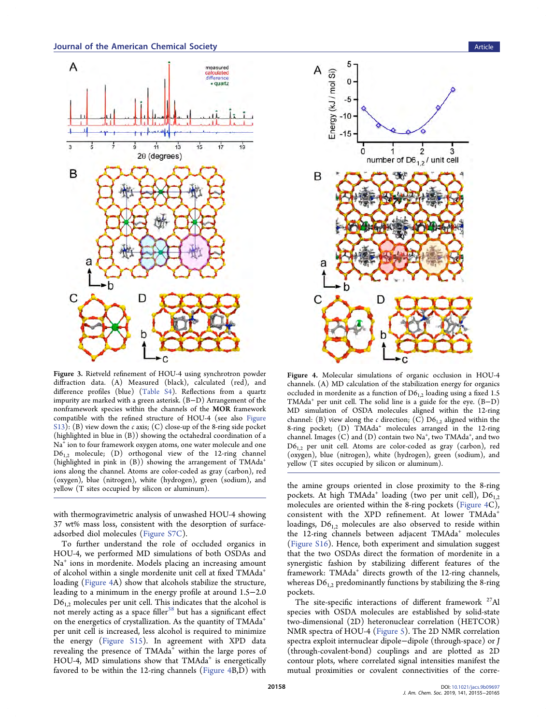<span id="page-3-0"></span>

Figure 3. Rietveld refinement of HOU-4 using synchrotron powder diffraction data. (A) Measured (black), calculated (red), and difference profiles (blue) ([Table S4](http://pubs.acs.org/doi/suppl/10.1021/jacs.9b09697/suppl_file/ja9b09697_si_001.pdf)). Reflections from a quartz impurity are marked with a green asterisk. (B−D) Arrangement of the nonframework species within the channels of the MOR framework compatible with the refined structure of HOU-4 (see also [Figure](http://pubs.acs.org/doi/suppl/10.1021/jacs.9b09697/suppl_file/ja9b09697_si_001.pdf) [S13](http://pubs.acs.org/doi/suppl/10.1021/jacs.9b09697/suppl_file/ja9b09697_si_001.pdf)): (B) view down the c axis; (C) close-up of the 8-ring side pocket (highlighted in blue in (B)) showing the octahedral coordination of a Na<sup>+</sup> ion to four framework oxygen atoms, one water molecule and one  $D6_{1,2}$  molecule; (D) orthogonal view of the 12-ring channel (highlighted in pink in  $(B)$ ) showing the arrangement of TMAda<sup>+</sup> ions along the channel. Atoms are color-coded as gray (carbon), red (oxygen), blue (nitrogen), white (hydrogen), green (sodium), and yellow (T sites occupied by silicon or aluminum).

with thermogravimetric analysis of unwashed HOU-4 showing 37 wt% mass loss, consistent with the desorption of surfaceadsorbed diol molecules ([Figure S7C\)](http://pubs.acs.org/doi/suppl/10.1021/jacs.9b09697/suppl_file/ja9b09697_si_001.pdf).

To further understand the role of occluded organics in HOU-4, we performed MD simulations of both OSDAs and Na<sup>+</sup> ions in mordenite. Models placing an increasing amount of alcohol within a single mordenite unit cell at fixed TMAda<sup>+</sup> loading (Figure 4A) show that alcohols stabilize the structure, leading to a minimum in the energy profile at around 1.5−2.0  $D6<sub>1,2</sub>$  molecules per unit cell. This indicates that the alcohol is not merely acting as a space filler<sup>[38](#page-10-0)</sup> but has a significant effect on the energetics of crystallization. As the quantity of TMAda<sup>+</sup> per unit cell is increased, less alcohol is required to minimize the energy ([Figure S15](http://pubs.acs.org/doi/suppl/10.1021/jacs.9b09697/suppl_file/ja9b09697_si_001.pdf)). In agreement with XPD data revealing the presence of TMAda<sup>+</sup> within the large pores of HOU-4, MD simulations show that TMAda<sup>+</sup> is energetically favored to be within the 12-ring channels (Figure 4B,D) with



Figure 4. Molecular simulations of organic occlusion in HOU-4 channels. (A) MD calculation of the stabilization energy for organics occluded in mordenite as a function of  $D6_{1,2}$  loading using a fixed 1.5 TMAda<sup>+</sup> per unit cell. The solid line is a guide for the eye. (B−D) MD simulation of OSDA molecules aligned within the 12-ring channel: (B) view along the c direction; (C)  $D6_{12}$  aligned within the 8-ring pocket; (D) TMAda<sup>+</sup> molecules arranged in the 12-ring channel. Images (C) and (D) contain two Na<sup>+</sup>, two TMAda<sup>+</sup>, and two  $D6_{12}$  per unit cell. Atoms are color-coded as gray (carbon), red (oxygen), blue (nitrogen), white (hydrogen), green (sodium), and yellow (T sites occupied by silicon or aluminum).

the amine groups oriented in close proximity to the 8-ring pockets. At high TMAda<sup>+</sup> loading (two per unit cell),  $D6_{1,2}$ molecules are oriented within the 8-ring pockets (Figure 4C), consistent with the XPD refinement. At lower TMAda<sup>+</sup> loadings,  $D6_{1,2}$  molecules are also observed to reside within the 12-ring channels between adjacent TMAda<sup>+</sup> molecules ([Figure S16](http://pubs.acs.org/doi/suppl/10.1021/jacs.9b09697/suppl_file/ja9b09697_si_001.pdf)). Hence, both experiment and simulation suggest that the two OSDAs direct the formation of mordenite in a synergistic fashion by stabilizing different features of the framework: TMAda<sup>+</sup> directs growth of the 12-ring channels, whereas  $D6_{1,2}$  predominantly functions by stabilizing the 8-ring pockets.

The site-specific interactions of different framework  $27$ Al species with OSDA molecules are established by solid-state two-dimensional (2D) heteronuclear correlation (HETCOR) NMR spectra of HOU-4 [\(Figure 5\)](#page-4-0). The 2D NMR correlation spectra exploit internuclear dipole−dipole (through-space) or J (through-covalent-bond) couplings and are plotted as 2D contour plots, where correlated signal intensities manifest the mutual proximities or covalent connectivities of the corre-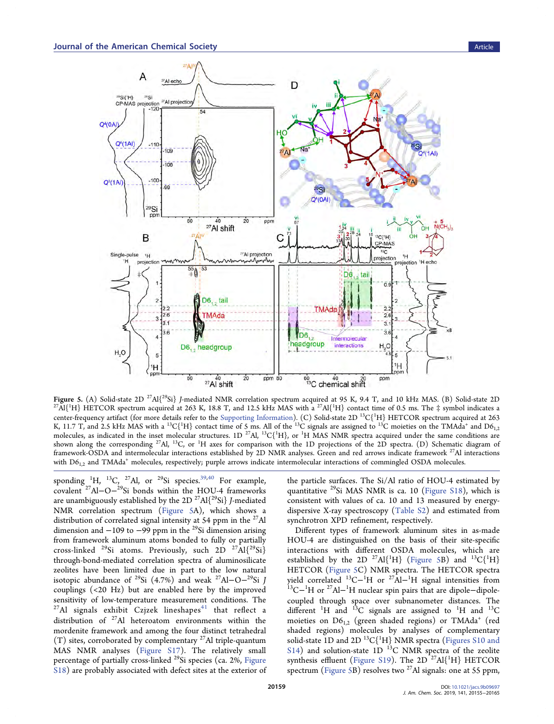<span id="page-4-0"></span>

Figure 5. (A) Solid-state 2D<sup>27</sup>Al{<sup>29</sup>Si} J-mediated NMR correlation spectrum acquired at 95 K, 9.4 T, and 10 kHz MAS. (B) Solid-state 2D H} HETCOR spectrum acquired at 263 K, 18.8 T, and 12.5 kHz MAS with a <sup>27</sup>Al{<sup>1</sup>H} contact time of 0.5 ms. The ‡ symbol indicates a center-frequency artifact (for more details refer to the [Supporting Information\)](http://pubs.acs.org/doi/suppl/10.1021/jacs.9b09697/suppl_file/ja9b09697_si_001.pdf). (C) Solid-state 2D  $\rm ^{13}C(^{1}H)$  HETCOR spectrum acquired at 263 K, 11.7 T, and 2.5 kHz MAS with a  $^{13}C$ {<sup>1</sup>H} contact time of 5 ms. All of the  $^{13}C$  signals are assigned to  $^{13}C$  moieties on the TMAda<sup>+</sup> and D6<sub>1,2</sub> molecules, as indicated in the inset molecular structures. 1D <sup>27</sup>Al, <sup>13</sup>C{<sup>1</sup>H}, or <sup>1</sup>H MAS NMR spectra acquired under the same conditions are shown along the corresponding <sup>27</sup>Al, <sup>13</sup>C, or <sup>1</sup>H axes for comparison with the 1D projections of the 2D spectra. (D) Schematic diagram of framework-OSDA and intermolecular interactions established by 2D NMR analyses. Green and red arrows indicate framework 27Al interactions with  $D6_{1,2}$  and TMAda<sup>+</sup> molecules, respectively; purple arrows indicate intermolecular interactions of commingled OSDA molecules.

sponding <sup>1</sup>H, <sup>13</sup>C, <sup>27</sup>Al, or <sup>29</sup>Si species.<sup>39,[40](#page-10-0)</sup> For example, covalent 27Al−O−29Si bonds within the HOU-4 frameworks are unambiguously established by the 2D  $27$ Al $\{29$ Si} J-mediated NMR correlation spectrum (Figure 5A), which shows a distribution of correlated signal intensity at 54 ppm in the <sup>27</sup>Al dimension and  $-109$  to  $-99$  ppm in the <sup>29</sup>Si dimension arising from framework aluminum atoms bonded to fully or partially cross-linked <sup>29</sup>Si atoms. Previously, such 2D <sup>27</sup>Al{<sup>29</sup>Si} through-bond-mediated correlation spectra of aluminosilicate zeolites have been limited due in part to the low natural isotopic abundance of <sup>29</sup>Si (4.7%) and weak <sup>27</sup>Al–O<sup>-29</sup>Si J couplings (<20 Hz) but are enabled here by the improved sensitivity of low-temperature measurement conditions. The  $^{27}$ Al signals exhibit Czjzek lineshapes<sup>[41](#page-10-0)</sup> that reflect a distribution of 27Al heteroatom environments within the mordenite framework and among the four distinct tetrahedral  $(T)$  sites, corroborated by complementary <sup>27</sup>Al triple-quantum MAS NMR analyses ([Figure S17\)](http://pubs.acs.org/doi/suppl/10.1021/jacs.9b09697/suppl_file/ja9b09697_si_001.pdf). The relatively small percentage of partially cross-linked <sup>29</sup>Si species (ca. 2%, [Figure](http://pubs.acs.org/doi/suppl/10.1021/jacs.9b09697/suppl_file/ja9b09697_si_001.pdf) [S18\)](http://pubs.acs.org/doi/suppl/10.1021/jacs.9b09697/suppl_file/ja9b09697_si_001.pdf) are probably associated with defect sites at the exterior of the particle surfaces. The Si/Al ratio of HOU-4 estimated by quantitative <sup>29</sup>Si MAS NMR is ca. 10 ([Figure S18](http://pubs.acs.org/doi/suppl/10.1021/jacs.9b09697/suppl_file/ja9b09697_si_001.pdf)), which is consistent with values of ca. 10 and 13 measured by energydispersive X-ray spectroscopy [\(Table S2](http://pubs.acs.org/doi/suppl/10.1021/jacs.9b09697/suppl_file/ja9b09697_si_001.pdf)) and estimated from synchrotron XPD refinement, respectively.

Different types of framework aluminum sites in as-made HOU-4 are distinguished on the basis of their site-specific interactions with different OSDA molecules, which are established by the 2D  $^{27}$ Al{<sup>1</sup>H} (Figure 5B) and  $^{13}$ C{<sup>1</sup>H} HETCOR (Figure 5C) NMR spectra. The HETCOR spectra yield correlated <sup>13</sup>C−<sup>1</sup>H or <sup>27</sup>Al−<sup>1</sup> yield correlated <sup>13</sup>C−<sup>1</sup>H or <sup>27</sup>Al−<sup>1</sup>H signal intensities from<br><sup>13</sup>C−<sup>1</sup>H or <sup>27</sup>Al−<sup>1</sup>H nuclear spin pairs that are dipole–dipolecoupled through space over subnanometer distances. The different <sup>1</sup>H and <sup>13</sup>C signals are assigned to <sup>1</sup>H and <sup>13</sup>C moieties on  $D6_{1,2}$  (green shaded regions) or TMAda<sup>+</sup> (red shaded regions) molecules by analyses of complementary solid-state  $1\mathrm{D}$  and  $2\mathrm{D}$   $^{13}\mathrm{C} \{ ^1\mathrm{H} \}$  NMR spectra [\(Figures S10 and](http://pubs.acs.org/doi/suppl/10.1021/jacs.9b09697/suppl_file/ja9b09697_si_001.pdf) [S14\)](http://pubs.acs.org/doi/suppl/10.1021/jacs.9b09697/suppl_file/ja9b09697_si_001.pdf) and solution-state  $1D<sup>13</sup>C NMR$  spectra of the zeolite synthesis effluent [\(Figure S19\)](http://pubs.acs.org/doi/suppl/10.1021/jacs.9b09697/suppl_file/ja9b09697_si_001.pdf). The  $2D^{-27}Al{^{1}H}$  HETCOR spectrum (Figure 5B) resolves two <sup>27</sup>Al signals: one at 55 ppm,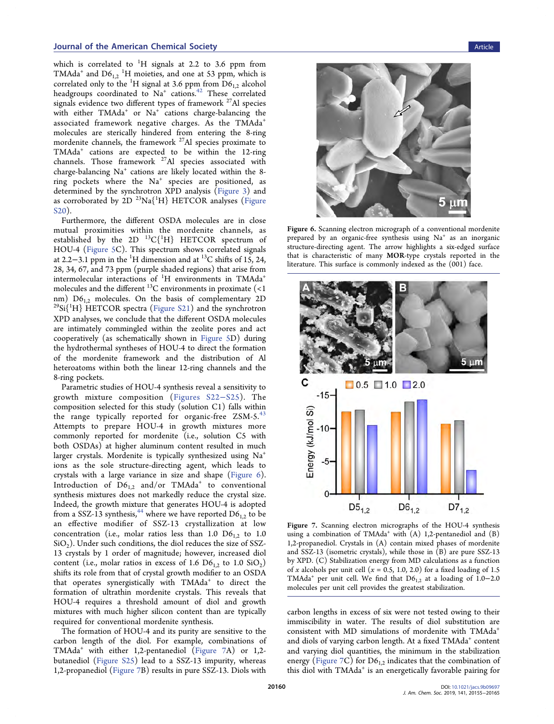<span id="page-5-0"></span>which is correlated to  $^1\mathrm{H}$  signals at 2.2 to 3.6 ppm from TMAda<sup>+</sup> and  $D6_{1,2}$  <sup>1</sup>H moieties, and one at 53 ppm, which is correlated only to the <sup>1</sup>H signal at 3.6 ppm from  $D6_{1,2}$  alcohol headgroups coordinated to  $Na^+$  cations.<sup>[42](#page-10-0)</sup> These correlated signals evidence two different types of framework <sup>27</sup>Al species with either  $TMAda<sup>+</sup>$  or  $Na<sup>+</sup>$  cations charge-balancing the associated framework negative charges. As the TMAda<sup>+</sup> molecules are sterically hindered from entering the 8-ring mordenite channels, the framework <sup>27</sup>Al species proximate to TMAda<sup>+</sup> cations are expected to be within the 12-ring channels. Those framework 27Al species associated with charge-balancing Na<sup>+</sup> cations are likely located within the 8ring pockets where the Na<sup>+</sup> species are positioned, as determined by the synchrotron XPD analysis  $(Figure 3)$  $(Figure 3)$  and as corroborated by 2D  $^{23}\mathrm{Na}^{\{1}\mathrm{H}\}$  HETCOR analyses [\(Figure](http://pubs.acs.org/doi/suppl/10.1021/jacs.9b09697/suppl_file/ja9b09697_si_001.pdf) [S20\)](http://pubs.acs.org/doi/suppl/10.1021/jacs.9b09697/suppl_file/ja9b09697_si_001.pdf).

Furthermore, the different OSDA molecules are in close mutual proximities within the mordenite channels, as established by the 2D  $^{13}$ C $\{^1\}$  HETCOR spectrum of HOU-4 ([Figure 5C](#page-4-0)). This spectrum shows correlated signals at 2.2−3.1 ppm in the <sup>1</sup>H dimension and at <sup>13</sup>C shifts of 15, 24, 28, 34, 67, and 73 ppm (purple shaded regions) that arise from intermolecular interactions of  $^1H$  environments in TMAda<sup>+</sup> molecules and the different  $^{13}$ C environments in proximate (<1 nm)  $D6_{1,2}$  molecules. On the basis of complementary 2D nm) D6<sub>1,2</sub> molecules. On the basis of complementary 2D<br><sup>29</sup>Si{<sup>1</sup>H} HETCOR spectra [\(Figure S21](http://pubs.acs.org/doi/suppl/10.1021/jacs.9b09697/suppl_file/ja9b09697_si_001.pdf)) and the synchrotron XPD analyses, we conclude that the different OSDA molecules are intimately commingled within the zeolite pores and act cooperatively (as schematically shown in [Figure 5](#page-4-0)D) during the hydrothermal syntheses of HOU-4 to direct the formation of the mordenite framework and the distribution of Al heteroatoms within both the linear 12-ring channels and the 8-ring pockets.

Parametric studies of HOU-4 synthesis reveal a sensitivity to growth mixture composition ([Figures S22](http://pubs.acs.org/doi/suppl/10.1021/jacs.9b09697/suppl_file/ja9b09697_si_001.pdf)−S25). The composition selected for this study (solution C1) falls within the range typically reported for organic-free  $ZSM-5.^{43}$  $ZSM-5.^{43}$  $ZSM-5.^{43}$ Attempts to prepare HOU-4 in growth mixtures more commonly reported for mordenite (i.e., solution C5 with both OSDAs) at higher aluminum content resulted in much larger crystals. Mordenite is typically synthesized using  $Na<sup>+</sup>$ ions as the sole structure-directing agent, which leads to crystals with a large variance in size and shape (Figure 6). Introduction of  $D6_{1,2}$  and/or TMAda<sup>+</sup> to conventional synthesis mixtures does not markedly reduce the crystal size. Indeed, the growth mixture that generates HOU-4 is adopted from a SSZ-13 synthesis,<sup>[44](#page-10-0)</sup> where we have reported  $D6_{12}$  to be an effective modifier of SSZ-13 crystallization at low concentration (i.e., molar ratios less than 1.0  $D6_{1,2}$  to 1.0  $SiO<sub>2</sub>$ ). Under such conditions, the diol reduces the size of SSZ-13 crystals by 1 order of magnitude; however, increased diol content (i.e., molar ratios in excess of 1.6  $D6_{1,2}$  to 1.0  $SiO<sub>2</sub>$ ) shifts its role from that of crystal growth modifier to an OSDA that operates synergistically with TMAda<sup>+</sup> to direct the formation of ultrathin mordenite crystals. This reveals that HOU-4 requires a threshold amount of diol and growth mixtures with much higher silicon content than are typically required for conventional mordenite synthesis.

The formation of HOU-4 and its purity are sensitive to the carbon length of the diol. For example, combinations of TMAda<sup>+</sup> with either 1,2-pentanediol (Figure 7A) or 1,2 butanediol [\(Figure S25\)](http://pubs.acs.org/doi/suppl/10.1021/jacs.9b09697/suppl_file/ja9b09697_si_001.pdf) lead to a SSZ-13 impurity, whereas 1,2-propanediol (Figure 7B) results in pure SSZ-13. Diols with



Figure 6. Scanning electron micrograph of a conventional mordenite prepared by an organic-free synthesis using  $Na<sup>+</sup>$  as an inorganic structure-directing agent. The arrow highlights a six-edged surface that is characteristic of many MOR-type crystals reported in the literature. This surface is commonly indexed as the (001) face.



Figure 7. Scanning electron micrographs of the HOU-4 synthesis using a combination of TMAda<sup>+</sup> with  $(A)$  1,2-pentanediol and  $(B)$ 1,2-propanediol. Crystals in (A) contain mixed phases of mordenite and SSZ-13 (isometric crystals), while those in (B) are pure SSZ-13 by XPD. (C) Stabilization energy from MD calculations as a function of x alcohols per unit cell ( $x = 0.5$ , 1.0, 2.0) for a fixed loading of 1.5 TMAda<sup>+</sup> per unit cell. We find that  $D6_{1,2}$  at a loading of 1.0−2.0 molecules per unit cell provides the greatest stabilization.

carbon lengths in excess of six were not tested owing to their immiscibility in water. The results of diol substitution are consistent with MD simulations of mordenite with TMAda+ and diols of varying carbon length. At a fixed TMAda<sup>+</sup> content and varying diol quantities, the minimum in the stabilization energy (Figure 7C) for  $D6_{1,2}$  indicates that the combination of this diol with TMAda<sup>+</sup> is an energetically favorable pairing for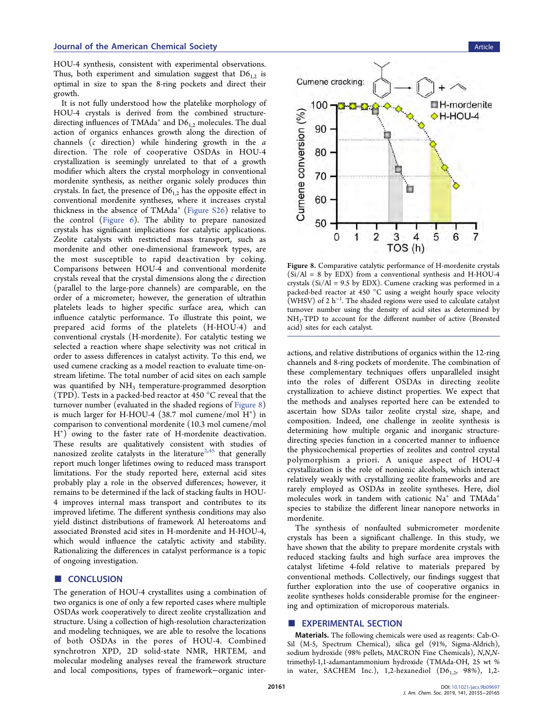<span id="page-6-0"></span>HOU-4 synthesis, consistent with experimental observations. Thus, both experiment and simulation suggest that  $D6_{1,2}$  is optimal in size to span the 8-ring pockets and direct their growth.

It is not fully understood how the platelike morphology of HOU-4 crystals is derived from the combined structuredirecting influences of TMAda<sup>+</sup> and  $D6_{1,2}$  molecules. The dual action of organics enhances growth along the direction of channels (c direction) while hindering growth in the a direction. The role of cooperative OSDAs in HOU-4 crystallization is seemingly unrelated to that of a growth modifier which alters the crystal morphology in conventional mordenite synthesis, as neither organic solely produces thin crystals. In fact, the presence of  $D6_{1,2}$  has the opposite effect in conventional mordenite syntheses, where it increases crystal thickness in the absence of TMAda<sup>+</sup> ([Figure S26\)](http://pubs.acs.org/doi/suppl/10.1021/jacs.9b09697/suppl_file/ja9b09697_si_001.pdf) relative to the control ([Figure 6](#page-5-0)). The ability to prepare nanosized crystals has significant implications for catalytic applications. Zeolite catalysts with restricted mass transport, such as mordenite and other one-dimensional framework types, are the most susceptible to rapid deactivation by coking. Comparisons between HOU-4 and conventional mordenite crystals reveal that the crystal dimensions along the c direction (parallel to the large-pore channels) are comparable, on the order of a micrometer; however, the generation of ultrathin platelets leads to higher specific surface area, which can influence catalytic performance. To illustrate this point, we prepared acid forms of the platelets (H-HOU-4) and conventional crystals (H-mordenite). For catalytic testing we selected a reaction where shape selectivity was not critical in order to assess differences in catalyst activity. To this end, we used cumene cracking as a model reaction to evaluate time-onstream lifetime. The total number of acid sites on each sample was quantified by  $NH<sub>3</sub>$  temperature-programmed desorption (TPD). Tests in a packed-bed reactor at 450 °C reveal that the turnover number (evaluated in the shaded regions of Figure 8) is much larger for H-HOU-4 (38.7 mol cumene/mol H+ ) in comparison to conventional mordenite (10.3 mol cumene/mol H+ ) owing to the faster rate of H-mordenite deactivation. These results are qualitatively consistent with studies of nanosized zeolite catalysts in the literature<sup>[2](#page-9-0),[45](#page-10-0)</sup> that generally report much longer lifetimes owing to reduced mass transport limitations. For the study reported here, external acid sites probably play a role in the observed differences; however, it remains to be determined if the lack of stacking faults in HOU-4 improves internal mass transport and contributes to its improved lifetime. The different synthesis conditions may also yield distinct distributions of framework Al heteroatoms and associated Brønsted acid sites in H-mordenite and H-HOU-4, which would influence the catalytic activity and stability. Rationalizing the differences in catalyst performance is a topic of ongoing investigation.

# ■ CONCLUSION

The generation of HOU-4 crystallites using a combination of two organics is one of only a few reported cases where multiple OSDAs work cooperatively to direct zeolite crystallization and structure. Using a collection of high-resolution characterization and modeling techniques, we are able to resolve the locations of both OSDAs in the pores of HOU-4. Combined synchrotron XPD, 2D solid-state NMR, HRTEM, and molecular modeling analyses reveal the framework structure and local compositions, types of framework−organic inter-



Figure 8. Comparative catalytic performance of H-mordenite crystals  $(Si/Al = 8$  by EDX) from a conventional synthesis and H-HOU-4 crystals (Si/Al = 9.5 by EDX). Cumene cracking was performed in a packed-bed reactor at 450 °C using a weight hourly space velocity (WHSV) of 2  $h^{-1}$ . The shaded regions were used to calculate catalyst turnover number using the density of acid sites as determined by NH3-TPD to account for the different number of active (Brønsted acid) sites for each catalyst.

actions, and relative distributions of organics within the 12-ring channels and 8-ring pockets of mordenite. The combination of these complementary techniques offers unparalleled insight into the roles of different OSDAs in directing zeolite crystallization to achieve distinct properties. We expect that the methods and analyses reported here can be extended to ascertain how SDAs tailor zeolite crystal size, shape, and composition. Indeed, one challenge in zeolite synthesis is determining how multiple organic and inorganic structuredirecting species function in a concerted manner to influence the physicochemical properties of zeolites and control crystal polymorphism a priori. A unique aspect of HOU-4 crystallization is the role of nonionic alcohols, which interact relatively weakly with crystallizing zeolite frameworks and are rarely employed as OSDAs in zeolite syntheses. Here, diol molecules work in tandem with cationic  $Na<sup>+</sup>$  and TMAda<sup>+</sup> species to stabilize the different linear nanopore networks in mordenite.

The synthesis of nonfaulted submicrometer mordenite crystals has been a significant challenge. In this study, we have shown that the ability to prepare mordenite crystals with reduced stacking faults and high surface area improves the catalyst lifetime 4-fold relative to materials prepared by conventional methods. Collectively, our findings suggest that further exploration into the use of cooperative organics in zeolite syntheses holds considerable promise for the engineering and optimization of microporous materials.

## **EXPERIMENTAL SECTION**

Materials. The following chemicals were used as reagents: Cab-O-Sil (M-5, Spectrum Chemical), silica gel (91%, Sigma-Aldrich), sodium hydroxide (98% pellets, MACRON Fine Chemicals), N,N,Ntrimethyl-1,1-adamantammonium hydroxide (TMAda-OH, 25 wt % in water, SACHEM Inc.), 1,2-hexanediol  $(D6_{1,2}, 98\%)$ , 1,2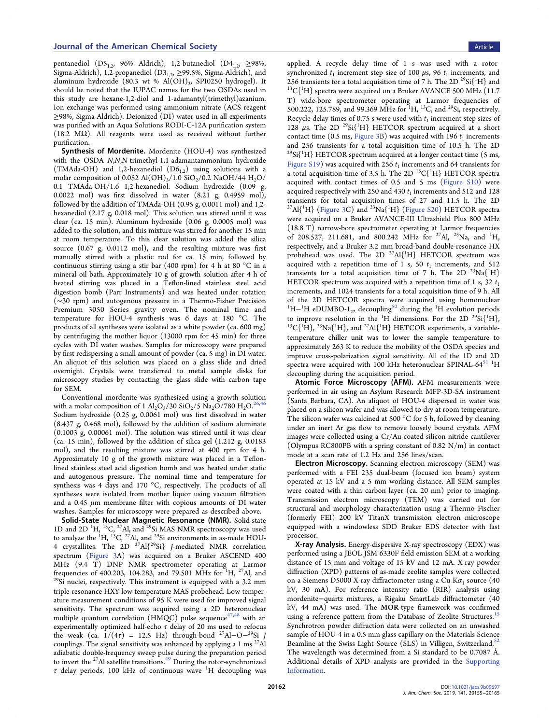pentanediol (D5<sub>1,2</sub>, 96% Aldrich), 1,2-butanediol (D4<sub>1,2</sub>, ≥98%, Sigma-Aldrich), 1,2-propanediol ( $D3_{1,2}$ ,  $\geq$ 99.5%, Sigma-Aldrich), and aluminum hydroxide (80.3 wt %  $Al(OH)_{3}$ , SPI0250 hydrogel). It should be noted that the IUPAC names for the two OSDAs used in this study are hexane-1,2-diol and 1-adamantyl(trimethyl)azanium. Ion exchange was performed using ammonium nitrate (ACS reagent ≥98%, Sigma-Aldrich). Deionized (DI) water used in all experiments was purified with an Aqua Solutions RODI-C-12A purification system (18.2 MΩ). All reagents were used as received without further purification.

Synthesis of Mordenite. Mordenite (HOU-4) was synthesized with the OSDA N,N,N-trimethyl-1,1-adamantammonium hydroxide (TMAda-OH) and 1,2-hexanediol  $(D6_{1,2})$  using solutions with a molar composition of 0.052 Al(OH)<sub>3</sub>/1.0 SiO<sub>2</sub>/0.2 NaOH/44 H<sub>2</sub>O/ 0.1 TMAda-OH/1.6 1,2-hexanediol. Sodium hydroxide (0.09 g, 0.0022 mol) was first dissolved in water (8.21 g, 0.4959 mol), followed by the addition of TMAda-OH (0.95 g, 0.0011 mol) and 1,2 hexanediol (2.17 g, 0.018 mol). This solution was stirred until it was clear (ca. 15 min). Aluminum hydroxide (0.06 g, 0.0005 mol) was added to the solution, and this mixture was stirred for another 15 min at room temperature. To this clear solution was added the silica source (0.67 g, 0.0112 mol), and the resulting mixture was first manually stirred with a plastic rod for ca. 15 min, followed by continuous stirring using a stir bar (400 rpm) for 4 h at 80 °C in a mineral oil bath. Approximately 10 g of growth solution after 4 h of heated stirring was placed in a Teflon-lined stainless steel acid digestion bomb (Parr Instruments) and was heated under rotation (∼30 rpm) and autogenous pressure in a Thermo-Fisher Precision Premium 3050 Series gravity oven. The nominal time and temperature for HOU-4 synthesis was 6 days at 180 °C. The products of all syntheses were isolated as a white powder (ca. 600 mg) by centrifuging the mother liquor (13000 rpm for 45 min) for three cycles with DI water washes. Samples for microscopy were prepared by first redispersing a small amount of powder (ca. 5 mg) in DI water. An aliquot of this solution was placed on a glass slide and dried overnight. Crystals were transferred to metal sample disks for microscopy studies by contacting the glass slide with carbon tape for SEM.

Conventional mordenite was synthesized using a growth solution with a molar composition of 1 Al<sub>2</sub>O<sub>3</sub>/30 SiO<sub>2</sub>/5 Na<sub>2</sub>O<sub>/780</sub> H<sub>2</sub>O.<sup>[26,](#page-9-0)4</sup> Sodium hydroxide (0.25 g, 0.0061 mol) was first dissolved in water (8.437 g, 0.468 mol), followed by the addition of sodium aluminate (0.1003 g, 0.00061 mol). The solution was stirred until it was clear (ca. 15 min), followed by the addition of silica gel (1.212 g, 0.0183 mol), and the resulting mixture was stirred at 400 rpm for 4 h. Approximately 10 g of the growth mixture was placed in a Teflonlined stainless steel acid digestion bomb and was heated under static and autogenous pressure. The nominal time and temperature for synthesis was 4 days and 170 °C, respectively. The products of all syntheses were isolated from mother liquor using vacuum filtration and a 0.45  $\mu$ m membrane filter with copious amounts of DI water washes. Samples for microscopy were prepared as described above.

Solid-State Nuclear Magnetic Resonance (NMR). Solid-state 1D and 2D <sup>1</sup>H, <sup>13</sup>C, <sup>27</sup>Al, and <sup>29</sup>Si MAS NMR spectroscopy was used to analyze the  $^1\mathrm{H}$ ,  $^{13}\mathrm{C}$ ,  $^{27}\mathrm{Al}$ , and  $^{29}\mathrm{Si}$  environments in as-made HOU-4 crystallites. The 2D  $^{27}Al{^{29}Si}$  J-mediated NMR correlation spectrum ([Figure 3A](#page-3-0)) was acquired on a Bruker ASCEND 400 MHz (9.4 T) DNP NMR spectrometer operating at Larmor frequencies of 400.203, 104.283, and 79.501 MHz for  ${}^{1}$ H,  ${}^{27}$ Al, and  $^{29}$ Si nuclei, respectively. This instrument is equipped with a 3.2 mm triple-resonance HXY low-temperature MAS probehead. Low-temperature measurement conditions of 95 K were used for improved signal sensitivity. The spectrum was acquired using a 2D heteronuclear multiple quantum correlation (HMQC) pulse sequence<sup>[47,48](#page-10-0)</sup> with an experimentally optimized half-echo  $\tau$  delay of 20 ms used to refocus the weak (ca.  $1/(4\tau) = 12.5$  Hz) through-bond <sup>27</sup>Al–O<sup>-29</sup>Si J couplings. The signal sensitivity was enhanced by applying a 1 ms  $^{27}$ Al adiabatic double-frequency sweep pulse during the preparation period to invert the <sup>27</sup>Al satellite transitions.<sup>[49](#page-10-0)</sup> During the rotor-synchronized  $\tau$  delay periods, 100 kHz of continuous wave <sup>1</sup>H decoupling was

applied. A recycle delay time of 1 s was used with a rotorsynchronized  $t_1$  increment step size of 100  $\mu$ s, 96  $t_1$  increments, and 256 transients for a total acquisition time of 7 h. The 2D  $^{29}Si$ <sup>1</sup>H} and 256 transients for a total acquisition time of 7 h. The 2D <sup>29</sup>Si{<sup>1</sup>H} and <sup>13</sup>C{<sup>1</sup>H} spectra were acquired on a Bruker AVANCE 500 MHz (11.7 T) wide-bore spectrometer operating at Larmor frequencies of 500.222, 125.789, and 99.369 MHz for <sup>1</sup>H, <sup>13</sup>C, and <sup>29</sup>Si, respectively. Recycle delay times of 0.75 s were used with  $t_1$  increment step sizes of 128  $\mu$ s. The 2D <sup>29</sup>Si{<sup>1</sup>H} HETCOR spectrum acquired at a short contact time (0.5 ms, [Figure 3B](#page-3-0)) was acquired with 196  $t_1$  increments and 256 transients for a total acquisition time of 10.5 h. The 2D  $^{29}\mathrm{Si} \{ ^1\mathrm{H} \}$  HETCOR spectrum acquired at a longer contact time (5 ms, Figure  $S19$ ) was acquired with 256  $t_1$  increments and 64 transients for a total acquisition time of 3.5 h. The 2D  $^{13} \mathrm{C} \{ ^1\mathrm{H} \}$  HETCOR spectra acquired with contact times of 0.5 and 5 ms ([Figure S10](http://pubs.acs.org/doi/suppl/10.1021/jacs.9b09697/suppl_file/ja9b09697_si_001.pdf)) were acquired respectively with 250 and 430  $t_1$  increments and 512 and 128 transients for total acquisition times of 27 and 11.5 h. The 2D  $^{27}\text{Al}^{\{1}\text{H}\}$  [\(Figure 3](#page-3-0)C) and  $^{23}\text{Na}^{\{1}\text{H}\}$  ([Figure S20](http://pubs.acs.org/doi/suppl/10.1021/jacs.9b09697/suppl_file/ja9b09697_si_001.pdf)) HETCOR spectra were acquired on a Bruker AVANCE-III Ultrashield Plus 800 MHz (18.8 T) narrow-bore spectrometer operating at Larmor frequencies of 208.527, 211.681, and 800.242 MHz for <sup>27</sup>Al, <sup>23</sup>Na, and <sup>1</sup>H, respectively, and a Bruker 3.2 mm broad-band double-resonance HX probehead was used. The 2D  $^{27}\mathrm{Al}^{\{1}\mathrm{H}\}$  HETCOR spectrum was acquired with a repetition time of 1 s, 50  $t_1$  increments, and 512 transients for a total acquisition time of 7 h. The 2D  $^{23}Na(^{1}H)$ HETCOR spectrum was acquired with a repetition time of 1 s, 32  $t_1$ increments, and 1024 transients for a total acquisition time of 9 h. All of the 2D HETCOR spectra were acquired using homonuclear <sup>1</sup>H<sup>-1</sup>H eDUMBO-1<sub>22</sub> decoupling<sup>50</sup> during the <sup>1</sup>H evolution periods to improve resolution in the <sup>1</sup>H dimensions. For the 2D <sup>29</sup>Si{<sup>1</sup> to improve resolution in the <sup>1</sup>H dimensions. For the 2D <sup>29</sup>Si{<sup>1</sup>H},  ${}^{13}C{}^{1}H_1$ ,  ${}^{23}Na{}^{1}H_1$ , and <sup>27</sup>Al{<sup>1</sup>H} HETCOR experiments, a variabletemperature chiller unit was to lower the sample temperature to approximately 263 K to reduce the mobility of the OSDA species and improve cross-polarization signal sensitivity. All of the 1D and 2D spectra were acquired with 100 kHz heteronuclear SPINAL-64<sup>51</sup> <sup>1</sup>H decoupling during the acquisition period.

Atomic Force Microscopy (AFM). AFM measurements were performed in air using an Asylum Research MFP-3D-SA instrument (Santa Barbara, CA). An aliquot of HOU-4 dispersed in water was placed on a silicon wafer and was allowed to dry at room temperature. The silicon wafer was calcined at 500 °C for 5 h, followed by cleaning under an inert Ar gas flow to remove loosely bound crystals. AFM images were collected using a Cr/Au-coated silicon nitride cantilever (Olympus RC800PB with a spring constant of 0.82 N/m) in contact mode at a scan rate of 1.2 Hz and 256 lines/scan.

Electron Microscopy. Scanning electron microscopy (SEM) was performed with a FEI 235 dual-beam (focused ion beam) system operated at 15 kV and a 5 mm working distance. All SEM samples were coated with a thin carbon layer (ca. 20 nm) prior to imaging. Transmission electron microscopy (TEM) was carried out for structural and morphology characterization using a Thermo Fischer (formerly FEI) 200 kV TitanX transmission electron microscope equipped with a windowless SDD Bruker EDS detector with fast processor.

X-ray Analysis. Energy-dispersive X-ray spectroscopy (EDX) was performed using a JEOL JSM 6330F field emission SEM at a working distance of 15 mm and voltage of 15 kV and 12 mA. X-ray powder diffraction (XPD) patterns of as-made zeolite samples were collected on a Siemens D5000 X-ray diffractometer using a Cu K $\alpha_1$  source (40 kV, 30 mA). For reference intensity ratio (RIR) analysis using mordenite−quartz mixtures, a Rigaku SmartLab diffractometer (40 kV, 44 mA) was used. The MOR-type framework was confirmed using a reference pattern from the Database of Zeolite Structures.<sup>[15](#page-9-0)</sup> Synchrotron powder diffraction data were collected on an unwashed sample of HOU-4 in a 0.5 mm glass capillary on the Materials Science Beamline at the Swiss Light Source (SLS) in Villigen, Switzerland.<sup>[52](#page-10-0)</sup> The wavelength was determined from a Si standard to be 0.7087 Å. Additional details of XPD analysis are provided in the [Supporting](http://pubs.acs.org/doi/suppl/10.1021/jacs.9b09697/suppl_file/ja9b09697_si_001.pdf) [Information.](http://pubs.acs.org/doi/suppl/10.1021/jacs.9b09697/suppl_file/ja9b09697_si_001.pdf)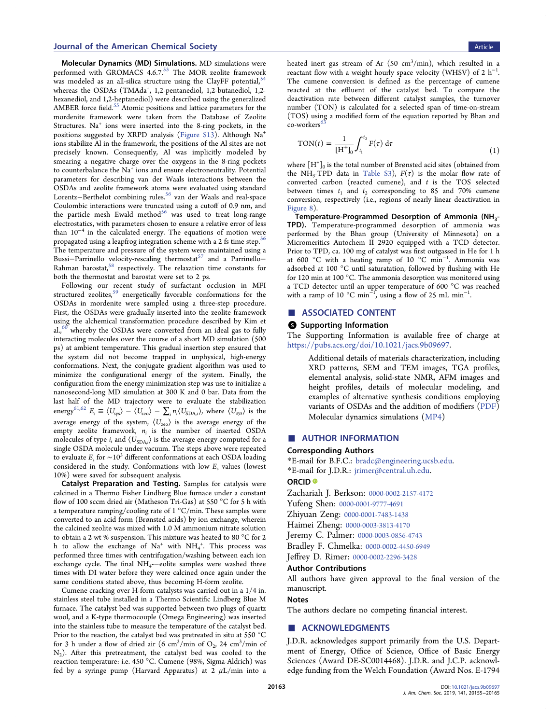<span id="page-8-0"></span>Molecular Dynamics (MD) Simulations. MD simulations were performed with GROMACS 4.6.7.<sup>[53](#page-10-0)</sup> The MOR zeolite framework was modeled as an all-silica structure using the ClayFF potential, [54](#page-10-0) whereas the OSDAs (TMAda<sup>+</sup>, 1,2-pentanediol, 1,2-butanediol, 1,2hexanediol, and 1,2-heptanediol) were described using the generalized AMBER force field.<sup>[55](#page-10-0)</sup> Atomic positions and lattice parameters for the mordenite framework were taken from the Database of Zeolite Structures. Na<sup>+</sup> ions were inserted into the 8-ring pockets, in the positions suggested by XRPD analysis ([Figure S13](http://pubs.acs.org/doi/suppl/10.1021/jacs.9b09697/suppl_file/ja9b09697_si_001.pdf)). Although Na<sup>+</sup> ions stabilize Al in the framework, the positions of the Al sites are not precisely known. Consequently, Al was implicitly modeled by smearing a negative charge over the oxygens in the 8-ring pockets to counterbalance the Na<sup>+</sup> ions and ensure electroneutrality. Potential parameters for describing van der Waals interactions between the OSDAs and zeolite framework atoms were evaluated using standard Lorentz−Berthelot combining rules.[56](#page-10-0) van der Waals and real-space Coulombic interactions were truncated using a cutoff of 0.9 nm, and the particle mesh Ewald method<sup>56</sup> was used to treat long-range electrostatics, with parameters chosen to ensure a relative error of less than  $10^{-4}$  in the calculated energy. The equations of motion were propagated using a leapfrog integration scheme with a 2 fs time step.<sup>5</sup> The temperature and pressure of the system were maintained using a Bussi-Parrinello velocity-rescaling thermostat<sup>[57](#page-10-0)</sup> and a Parrinello-Rahman barostat,<sup>58</sup> respectively. The relaxation time constants for both the thermostat and barostat were set to 2 ps.

Following our recent study of surfactant occlusion in MFI structured zeolites,<sup>[59](#page-10-0)</sup> energetically favorable conformations for the OSDAs in mordenite were sampled using a three-step procedure. First, the OSDAs were gradually inserted into the zeolite framework using the alchemical transformation procedure described by Kim et al., $60$  whereby the OSDAs were converted from an ideal gas to fully interacting molecules over the course of a short MD simulation (500 ps) at ambient temperature. This gradual insertion step ensured that the system did not become trapped in unphysical, high-energy conformations. Next, the conjugate gradient algorithm was used to minimize the configurational energy of the system. Finally, the configuration from the energy minimization step was use to initialize a nanosecond-long MD simulation at 300 K and 0 bar. Data from the last half of the MD trajectory were to evaluate the stabilization energy<sup>61,62</sup>  $E_s \equiv \langle U_{\rm sys} \rangle - \langle U_{\rm zero} \rangle - \sum_i n_i \langle U_{\rm SDA,i} \rangle$ , where  $\langle U_{\rm sys} \rangle$  is the average energy of the system,  $\langle U_{\text{zeo}} \rangle$  is the average energy of the empty zeolite framework,  $n_i$  is the number of inserted OSDA molecules of type  $i$ , and  $\langle U_{\mathrm{SDA},i} \rangle$  is the average energy computed for a single OSDA molecule under vacuum. The steps above were repeated to evaluate  $E_s$  for  $\sim 10^3$  different conformations at each OSDA loading considered in the study. Conformations with low  $E<sub>s</sub>$  values (lowest 10%) were saved for subsequent analysis.

Catalyst Preparation and Testing. Samples for catalysis were calcined in a Thermo Fisher Lindberg Blue furnace under a constant flow of 100 sccm dried air (Matheson Tri-Gas) at 550 °C for 5 h with a temperature ramping/cooling rate of 1 °C/min. These samples were converted to an acid form (Brønsted acids) by ion exchange, wherein the calcined zeolite was mixed with 1.0 M ammonium nitrate solution to obtain a 2 wt % suspension. This mixture was heated to 80 °C for 2 h to allow the exchange of  $Na^+$  with  $NH_4^+$ . This process was performed three times with centrifugation/washing between each ion exchange cycle. The final NH<sub>4</sub>-−eolite samples were washed three times with DI water before they were calcined once again under the same conditions stated above, thus becoming H-form zeolite.

Cumene cracking over H-form catalysts was carried out in a 1/4 in. stainless steel tube installed in a Thermo Scientific Lindberg Blue M furnace. The catalyst bed was supported between two plugs of quartz wool, and a K-type thermocouple (Omega Engineering) was inserted into the stainless tube to measure the temperature of the catalyst bed. Prior to the reaction, the catalyst bed was pretreated in situ at 550 °C for 3 h under a flow of dried air  $(6 \text{ cm}^3/\text{min}$  of  $O_2$ , 24 cm<sup>3</sup>/min of  $N_2$ ). After this pretreatment, the catalyst bed was cooled to the reaction temperature: i.e. 450 °C. Cumene (98%, Sigma-Aldrich) was fed by a syringe pump (Harvard Apparatus) at 2  $\mu$ L/min into a

heated inert gas stream of Ar  $(50 \text{ cm}^3/\text{min})$ , which resulted in a reactant flow with a weight hourly space velocity (WHSV) of 2  $h^{-1}$ . The cumene conversion is defined as the percentage of cumene reacted at the effluent of the catalyst bed. To compare the deactivation rate between different catalyst samples, the turnover number (TON) is calculated for a selected span of time-on-stream (TOS) using a modified form of the equation reported by Bhan and  $\cos$ -workers $\frac{6}{3}$ 

$$
TON(t) = \frac{1}{[H^+]_0} \int_{t_1}^{t_2} F(\tau) d\tau
$$
 (1)

where  $[H^+]_0$  is the total number of Brønsted acid sites (obtained from the NH<sub>3</sub>-TPD data in [Table S3](http://pubs.acs.org/doi/suppl/10.1021/jacs.9b09697/suppl_file/ja9b09697_si_001.pdf)),  $F(\tau)$  is the molar flow rate of converted carbon (reacted cumene), and  $t$  is the TOS selected between times  $t_1$  and  $t_2$  corresponding to 85 and 70% cumene conversion, respectively (i.e., regions of nearly linear deactivation in

[Figure 8\)](#page-6-0).<br>Temperature-Programmed Desorption of Ammonia (NH<sub>3</sub>-TPD). Temperature-programmed desorption of ammonia was performed by the Bhan group (University of Minnesota) on a Micromeritics Autochem II 2920 equipped with a TCD detector. Prior to TPD, ca. 100 mg of catalyst was first outgassed in He for 1 h at 600 °C with a heating ramp of 10 °C min<sup>−</sup><sup>1</sup> . Ammonia was adsorbed at 100 °C until saturatation, followed by flushing with He for 120 min at 100 °C. The ammonia desorption was monitored using a TCD detector until an upper temperature of 600 °C was reached with a ramp of 10  $^{\circ}$ C min<sup>-1</sup>, using a flow of 25 mL min<sup>-1</sup>.

## ASSOCIATED CONTENT

#### **6** Supporting Information

The Supporting Information is available free of charge at [https://pubs.acs.org/doi/10.1021/jacs.9b09697.](https://pubs.acs.org/doi/10.1021/jacs.9b09697?goto=supporting-info)

> Additional details of materials characterization, including XRD patterns, SEM and TEM images, TGA profiles, elemental analysis, solid-state NMR, AFM images and height profiles, details of molecular modeling, and examples of alternative synthesis conditions employing variants of OSDAs and the addition of modifiers ([PDF](http://pubs.acs.org/doi/suppl/10.1021/jacs.9b09697/suppl_file/ja9b09697_si_001.pdf)) Molecular dynamics simulations [\(MP4\)](http://pubs.acs.org/doi/suppl/10.1021/jacs.9b09697/suppl_file/ja9b09697_si_002.mp4)

## ■ AUTHOR INFORMATION

#### Corresponding Authors

\*E-mail for B.F.C.: [bradc@engineering.ucsb.edu.](mailto:bradc@engineering.ucsb.edu)

\*E-mail for J.D.R.: [jrimer@central.uh.edu](mailto:jrimer@central.uh.edu).

#### ORCID<sup>®</sup>

Zachariah J. Berkson: [0000-0002-2157-4172](http://orcid.org/0000-0002-2157-4172) Yufeng Shen: [0000-0001-9777-4691](http://orcid.org/0000-0001-9777-4691) Zhiyuan Zeng: [0000-0001-7483-1438](http://orcid.org/0000-0001-7483-1438) Haimei Zheng: [0000-0003-3813-4170](http://orcid.org/0000-0003-3813-4170) Jeremy C. Palmer: [0000-0003-0856-4743](http://orcid.org/0000-0003-0856-4743) Bradley F. Chmelka: [0000-0002-4450-6949](http://orcid.org/0000-0002-4450-6949) Jeffrey D. Rimer: [0000-0002-2296-3428](http://orcid.org/0000-0002-2296-3428)

#### Author Contributions

All authors have given approval to the final version of the manuscript.

#### Notes

The authors declare no competing financial interest.

# ■ ACKNOWLEDGMENTS

J.D.R. acknowledges support primarily from the U.S. Department of Energy, Office of Science, Office of Basic Energy Sciences (Award DE-SC0014468). J.D.R. and J.C.P. acknowledge funding from the Welch Foundation (Award Nos. E-1794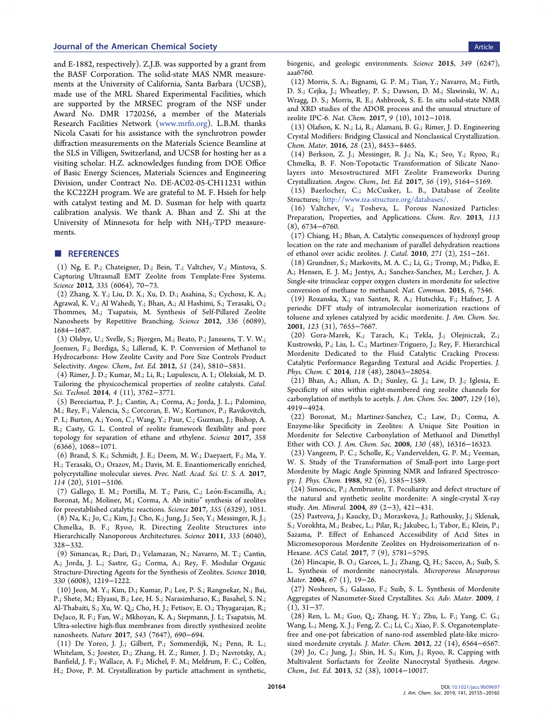<span id="page-9-0"></span>and E-1882, respectively). Z.J.B. was supported by a grant from the BASF Corporation. The solid-state MAS NMR measurements at the University of California, Santa Barbara (UCSB), made use of the MRL Shared Experimental Facilities, which are supported by the MRSEC program of the NSF under Award No. DMR 1720256, a member of the Materials Research Facilities Network ([www.mrfn.org](http://www.mrfn.org)). L.B.M. thanks Nicola Casati for his assistance with the synchrotron powder diffraction measurements on the Materials Science Beamline at the SLS in Villigen, Switzerland, and UCSB for hosting her as a visiting scholar. H.Z. acknowledges funding from DOE Office of Basic Energy Sciences, Materials Sciences and Engineering Division, under Contract No. DE-AC02-05-CH11231 within the KC22ZH program. We are grateful to M. F. Hsieh for help with catalyst testing and M. D. Susman for help with quartz calibration analysis. We thank A. Bhan and Z. Shi at the University of Minnesota for help with  $NH<sub>3</sub>-TPD$  measurements.

## ■ REFERENCES

(1) Ng, E. P.; Chateigner, D.; Bein, T.; Valtchev, V.; Mintova, S. Capturing Ultrasmall EMT Zeolite from Template-Free Systems. Science 2012, 335 (6064), 70−73.

(2) Zhang, X. Y.; Liu, D. X.; Xu, D. D.; Asahina, S.; Cychosz, K. A.; Agrawal, K. V.; Al Wahedi, Y.; Bhan, A.; Al Hashimi, S.; Terasaki, O.; Thommes, M.; Tsapatsis, M. Synthesis of Self-Pillared Zeolite Nanosheets by Repetitive Branching. Science 2012, 336 (6089), 1684−1687.

(3) Olsbye, U.; Svelle, S.; Bjorgen, M.; Beato, P.; Janssens, T. V. W.; Joensen, F.; Bordiga, S.; Lillerud, K. P. Conversion of Methanol to Hydrocarbons: How Zeolite Cavity and Pore Size Controls Product Selectivity. Angew. Chem., Int. Ed. 2012, 51 (24), 5810−5831.

(4) Rimer, J. D.; Kumar, M.; Li, R.; Lupulescu, A. I.; Oleksiak, M. D. Tailoring the physicochemical properties of zeolite catalysts. Catal. Sci. Technol. 2014, 4 (11), 3762−3771.

(5) Bereciartua, P. J.; Cantin, A.; Corma, A.; Jorda, J. L.; Palomino, M.; Rey, F.; Valencia, S.; Corcoran, E. W.; Kortunov, P.; Ravikovitch, P. I.; Burton, A.; Yoon, C.; Wang, Y.; Paur, C.; Guzman, J.; Bishop, A. R.; Casty, G. L. Control of zeolite framework flexibility and pore topology for separation of ethane and ethylene. Science 2017, 358 (6366), 1068−1071.

(6) Brand, S. K.; Schmidt, J. E.; Deem, M. W.; Daeyaert, F.; Ma, Y. H.; Terasaki, O.; Orazov, M.; Davis, M. E. Enantiomerically enriched, polycrystalline molecular sieves. Proc. Natl. Acad. Sci. U. S. A. 2017, 114 (20), 5101−5106.

(7) Gallego, E. M.; Portilla, M. T.; Paris, C.; León-Escamilla, A.; Boronat, M.; Moliner, M.; Corma, A. Ab initio" synthesis of zeolites for preestablished catalytic reactions. Science 2017, 355 (6329), 1051.

(8) Na, K.; Jo, C.; Kim, J.; Cho, K.; Jung, J.; Seo, Y.; Messinger, R. J.; Chmelka, B. F.; Ryoo, R. Directing Zeolite Structures into Hierarchically Nanoporous Architectures. Science 2011, 333 (6040), 328−332.

(9) Simancas, R.; Dari, D.; Velamazan, N.; Navarro, M. T.; Cantin, A.; Jorda, J. L.; Sastre, G.; Corma, A.; Rey, F. Modular Organic Structure-Directing Agents for the Synthesis of Zeolites. Science 2010, 330 (6008), 1219−1222.

(10) Jeon, M. Y.; Kim, D.; Kumar, P.; Lee, P. S.; Rangnekar, N.; Bai, P.; Shete, M.; Elyassi, B.; Lee, H. S.; Narasimharao, K.; Basahel, S. N.; Al-Thabaiti, S.; Xu, W. Q.; Cho, H. J.; Fetisov, E. O.; Thyagarajan, R.; DeJaco, R. F.; Fan, W.; Mkhoyan, K. A.; Siepmann, J. I.; Tsapatsis, M. Ultra-selective high-flux membranes from directly synthesized zeolite nanosheets. Nature 2017, 543 (7647), 690−694.

(11) De Yoreo, J. J.; Gilbert, P.; Sommerdijk, N.; Penn, R. L.; Whitelam, S.; Joester, D.; Zhang, H. Z.; Rimer, J. D.; Navrotsky, A.; Banfield, J. F.; Wallace, A. F.; Michel, F. M.; Meldrum, F. C.; Colfen, H.; Dove, P. M. Crystallization by particle attachment in synthetic, biogenic, and geologic environments. Science 2015, 349 (6247), aaa6760.

(12) Morris, S. A.; Bignami, G. P. M.; Tian, Y.; Navarro, M.; Firth, D. S.; Cejka, J.; Wheatley, P. S.; Dawson, D. M.; Slawinski, W. A.; Wragg, D. S.; Morris, R. E.; Ashbrook, S. E. In situ solid-state NMR and XRD studies of the ADOR process and the unusual structure of zeolite IPC-6. Nat. Chem. 2017, 9 (10), 1012−1018.

(13) Olafson, K. N.; Li, R.; Alamani, B. G.; Rimer, J. D. Engineering Crystal Modifiers: Bridging Classical and Nonclassical Crystallization. Chem. Mater. 2016, 28 (23), 8453−8465.

(14) Berkson, Z. J.; Messinger, R. J.; Na, K.; Seo, Y.; Ryoo, R.; Chmelka, B. F. Non-Topotactic Transformation of Silicate Nanolayers into Mesostructured MFI Zeolite Frameworks During Crystallization. Angew. Chem., Int. Ed. 2017, 56 (19), 5164−5169.

(15) Baerlocher, C.; McCusker, L. B., Database of Zeolite Structures; [http://www.iza-structure.org/databases/.](http://www.iza-structure.org/databases/)

(16) Valtchev, V.; Tosheva, L. Porous Nanosized Particles: Preparation, Properties, and Applications. Chem. Rev. 2013, 113 (8), 6734−6760.

(17) Chiang, H.; Bhan, A. Catalytic consequences of hydroxyl group location on the rate and mechanism of parallel dehydration reactions of ethanol over acidic zeolites. J. Catal. 2010, 271 (2), 251−261.

(18) Grundner, S.; Markovits, M. A. C.; Li, G.; Tromp, M.; Pidko, E. A.; Hensen, E. J. M.; Jentys, A.; Sanchez-Sanchez, M.; Lercher, J. A. Single-site trinuclear copper oxygen clusters in mordenite for selective conversion of methane to methanol. Nat. Commun. 2015, 6, 7546.

(19) Rozanska, X.; van Santen, R. A.; Hutschka, F.; Hafner, J. A periodic DFT study of intramolecular isomerization reactions of toluene and xylenes catalyzed by acidic mordenite. J. Am. Chem. Soc. 2001, 123 (31), 7655−7667.

(20) Gora-Marek, K.; Tarach, K.; Tekla, J.; Olejniczak, Z.; Kustrowski, P.; Liu, L. C.; Martinez-Triguero, J.; Rey, F. Hierarchical Mordenite Dedicated to the Fluid Catalytic Cracking Process: Catalytic Performance Regarding Textural and Acidic Properties. J. Phys. Chem. C 2014, 118 (48), 28043−28054.

(21) Bhan, A.; Allian, A. D.; Sunley, G. J.; Law, D. J.; Iglesia, E. Specificity of sites within eight-membered ring zeolite channels for carbonylation of methyls to acetyls. J. Am. Chem. Soc. 2007, 129 (16), 4919−4924.

(22) Boronat, M.; Martinez-Sanchez, C.; Law, D.; Corma, A. Enzyme-like Specificity in Zeolites: A Unique Site Position in Mordenite for Selective Carbonylation of Methanol and Dimethyl Ether with CO. J. Am. Chem. Soc. 2008, 130 (48), 16316−16323.

(23) Vangeem, P. C.; Scholle, K.; Vandervelden, G. P. M.; Veeman, W. S. Study of the Transformation of Small-port into Large-port Mordenite by Magic Angle Spinning NMR and Infrared Spectroscopy. J. Phys. Chem. 1988, 92 (6), 1585−1589.

(24) Simoncic, P.; Armbruster, T. Peculiarity and defect structure of the natural and synthetic zeolite mordenite: A single-crystal X-ray study. Am. Mineral. 2004, 89 (2−3), 421−431.

(25) Pastvova, J.; Kaucky, D.; Moravkova, J.; Rathousky, J.; Sklenak, S.; Vorokhta, M.; Brabec, L.; Pilar, R.; Jakubec, I.; Tabor, E.; Klein, P.; Sazama, P. Effect of Enhanced Accessibility of Acid Sites in Micromesoporous Mordenite Zeolites on Hydroisomerization of n-Hexane. ACS Catal. 2017, 7 (9), 5781−5795.

(26) Hincapie, B. O.; Garces, L. J.; Zhang, Q. H.; Sacco, A.; Suib, S. L. Synthesis of mordenite nanocrystals. Microporous Mesoporous Mater. 2004, 67 (1), 19−26.

(27) Nosheen, S.; Galasso, F.; Suib, S. L. Synthesis of Mordenite Aggregates of Nanometer-Sized Crystallites. Sci. Adv. Mater. 2009, 1  $(1), 31–37.$ 

(28) Ren, L. M.; Guo, Q.; Zhang, H. Y.; Zhu, L. F.; Yang, C. G.; Wang, L.; Meng, X. J.; Feng, Z. C.; Li, C.; Xiao, F. S. Organotemplatefree and one-pot fabrication of nano-rod assembled plate-like microsized mordenite crystals. J. Mater. Chem. 2012, 22 (14), 6564−6567. (29) Jo, C.; Jung, J.; Shin, H. S.; Kim, J.; Ryoo, R. Capping with Multivalent Surfactants for Zeolite Nanocrystal Synthesis. Angew. Chem., Int. Ed. 2013, 52 (38), 10014−10017.